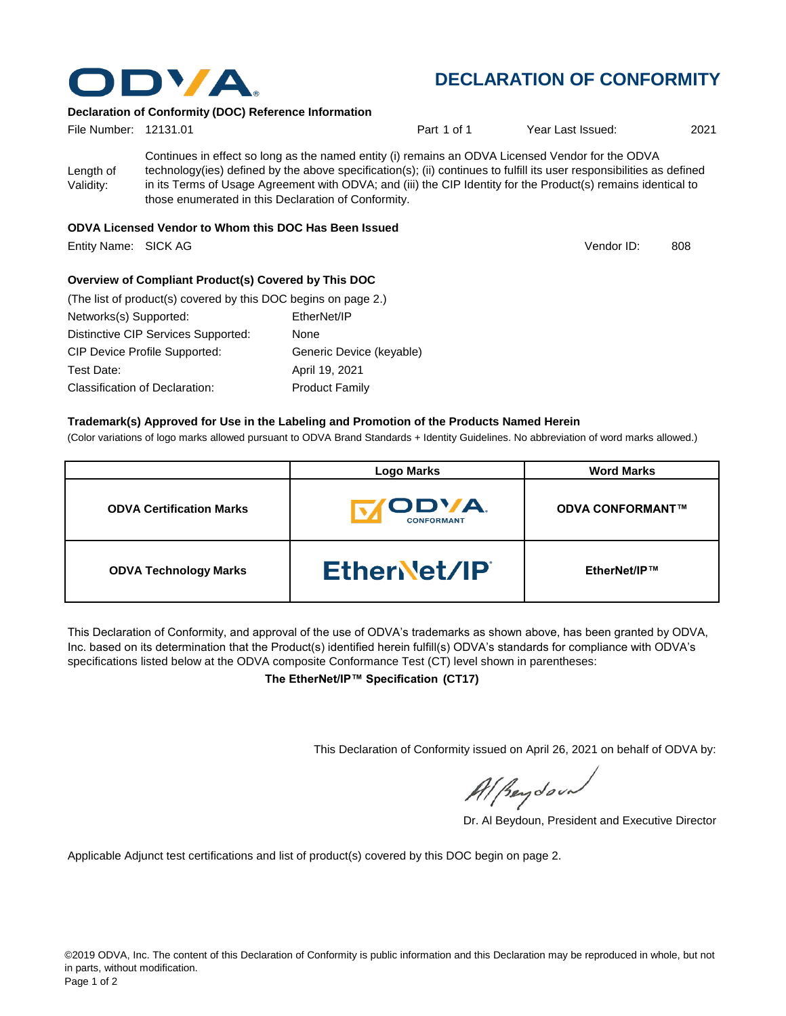

## **DECLARATION OF CONFORMITY**

#### **Declaration of Conformity (DOC) Reference Information**

| File Number: 12131.01  |                                                                                                                                                                                                                                                                                                                                                                                                   | Part 1 of 1 | Year Last Issued: | 2021 |
|------------------------|---------------------------------------------------------------------------------------------------------------------------------------------------------------------------------------------------------------------------------------------------------------------------------------------------------------------------------------------------------------------------------------------------|-------------|-------------------|------|
| Length of<br>Validity: | Continues in effect so long as the named entity (i) remains an ODVA Licensed Vendor for the ODVA<br>technology(ies) defined by the above specification(s); (ii) continues to fulfill its user responsibilities as defined<br>in its Terms of Usage Agreement with ODVA; and (iii) the CIP Identity for the Product(s) remains identical to<br>those enumerated in this Declaration of Conformity. |             |                   |      |
|                        | ABUA Lissos and Vandente Wilson this BAA Has Based Jacobal                                                                                                                                                                                                                                                                                                                                        |             |                   |      |

#### **ODVA Licensed Vendor to Whom this DOC Has Been Issued**

Entity Name: SICK AG 808 and the state of the state of the state of the state of the state of the state of the state of the state of the state of the state of the state of the state of the state of the state of the state o

Vendor ID:

### **Overview of Compliant Product(s) Covered by This DOC**

| (The list of product(s) covered by this DOC begins on page 2.) |                          |
|----------------------------------------------------------------|--------------------------|
| Networks(s) Supported:                                         | EtherNet/IP              |
| Distinctive CIP Services Supported:                            | None                     |
| <b>CIP Device Profile Supported:</b>                           | Generic Device (keyable) |
| Test Date:                                                     | April 19, 2021           |
| <b>Classification of Declaration:</b>                          | <b>Product Family</b>    |

### **Trademark(s) Approved for Use in the Labeling and Promotion of the Products Named Herein**

(Color variations of logo marks allowed pursuant to ODVA Brand Standards + Identity Guidelines. No abbreviation of word marks allowed.)

|                                 | <b>Logo Marks</b>                  | <b>Word Marks</b>       |
|---------------------------------|------------------------------------|-------------------------|
| <b>ODVA Certification Marks</b> | <b>IODVA.</b><br><b>CONFORMANT</b> | <b>ODVA CONFORMANT™</b> |
| <b>ODVA Technology Marks</b>    | EtherNet/IP                        | EtherNet/IP™            |

This Declaration of Conformity, and approval of the use of ODVA's trademarks as shown above, has been granted by ODVA, Inc. based on its determination that the Product(s) identified herein fulfill(s) ODVA's standards for compliance with ODVA's specifications listed below at the ODVA composite Conformance Test (CT) level shown in parentheses:

**The EtherNet/IP™ Specification (CT17)**

This Declaration of Conformity issued on April 26, 2021 on behalf of ODVA by:

Al peydound

Dr. Al Beydoun, President and Executive Director

Applicable Adjunct test certifications and list of product(s) covered by this DOC begin on page 2.